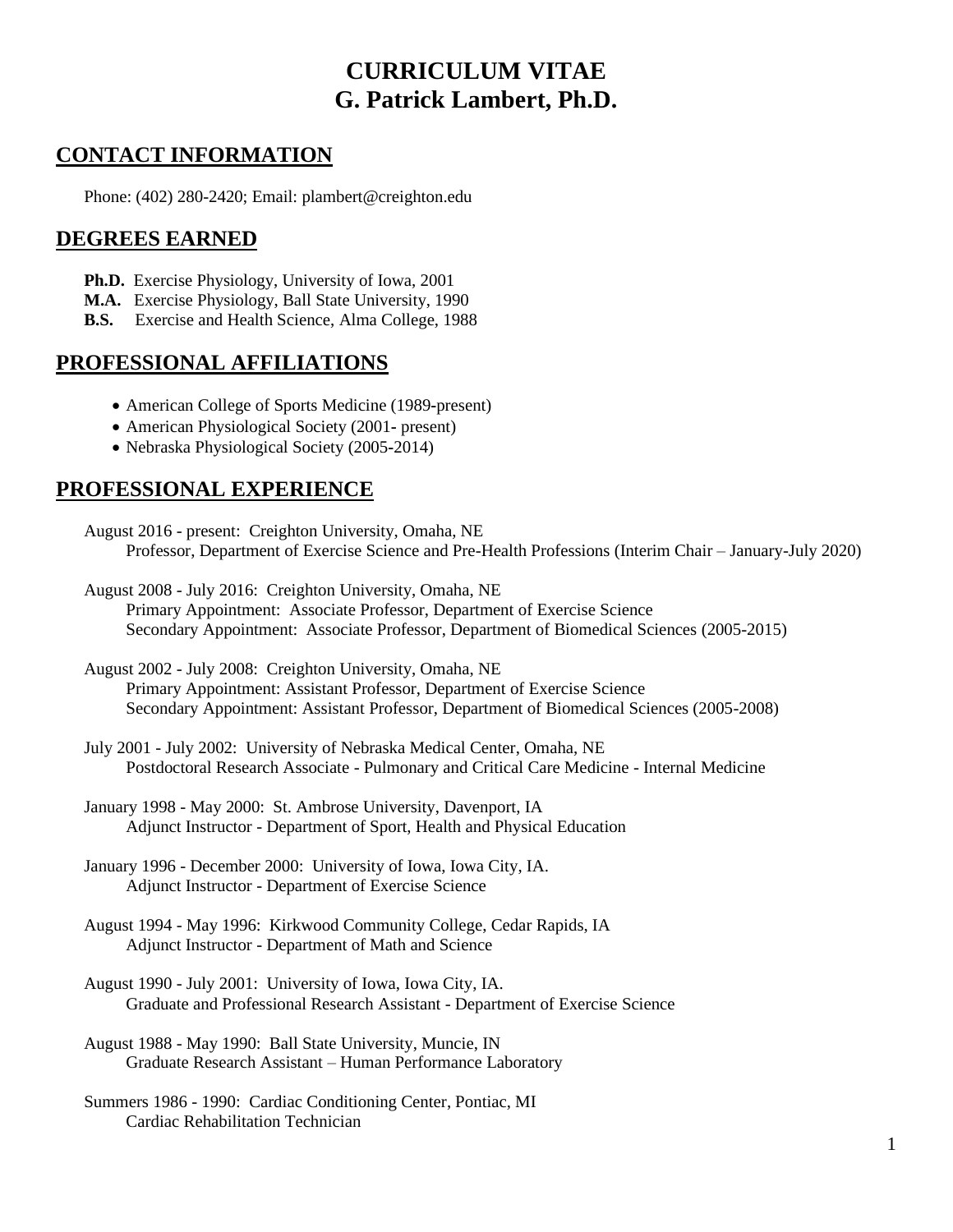# **CURRICULUM VITAE G. Patrick Lambert, Ph.D.**

# **CONTACT INFORMATION**

Phone: (402) 280-2420; Email: plambert@creighton.edu

## **DEGREES EARNED**

- **Ph.D.** Exercise Physiology, University of Iowa, 2001
- **M.A.** Exercise Physiology, Ball State University, 1990
- **B.S.** Exercise and Health Science, Alma College, 1988

# **PROFESSIONAL AFFILIATIONS**

- American College of Sports Medicine (1989**-**present)
- American Physiological Society (2001**-** present)
- Nebraska Physiological Society (2005**-**2014)

# **PROFESSIONAL EXPERIENCE**

- August 2016 present: Creighton University, Omaha, NE Professor, Department of Exercise Science and Pre-Health Professions (Interim Chair – January-July 2020)
- August 2008 July 2016: Creighton University, Omaha, NE Primary Appointment: Associate Professor, Department of Exercise Science Secondary Appointment: Associate Professor, Department of Biomedical Sciences (2005-2015)
- August 2002 July 2008: Creighton University, Omaha, NE Primary Appointment: Assistant Professor, Department of Exercise Science Secondary Appointment: Assistant Professor, Department of Biomedical Sciences (2005-2008)
- July 2001 July 2002: University of Nebraska Medical Center, Omaha, NE Postdoctoral Research Associate - Pulmonary and Critical Care Medicine - Internal Medicine
- January 1998 May 2000: St. Ambrose University, Davenport, IA Adjunct Instructor - Department of Sport, Health and Physical Education
- January 1996 December 2000: University of Iowa, Iowa City, IA. Adjunct Instructor - Department of Exercise Science
- August 1994 May 1996: Kirkwood Community College, Cedar Rapids, IA Adjunct Instructor - Department of Math and Science
- August 1990 July 2001: University of Iowa, Iowa City, IA. Graduate and Professional Research Assistant - Department of Exercise Science
- August 1988 May 1990: Ball State University, Muncie, IN Graduate Research Assistant – Human Performance Laboratory
- Summers 1986 1990: Cardiac Conditioning Center, Pontiac, MI Cardiac Rehabilitation Technician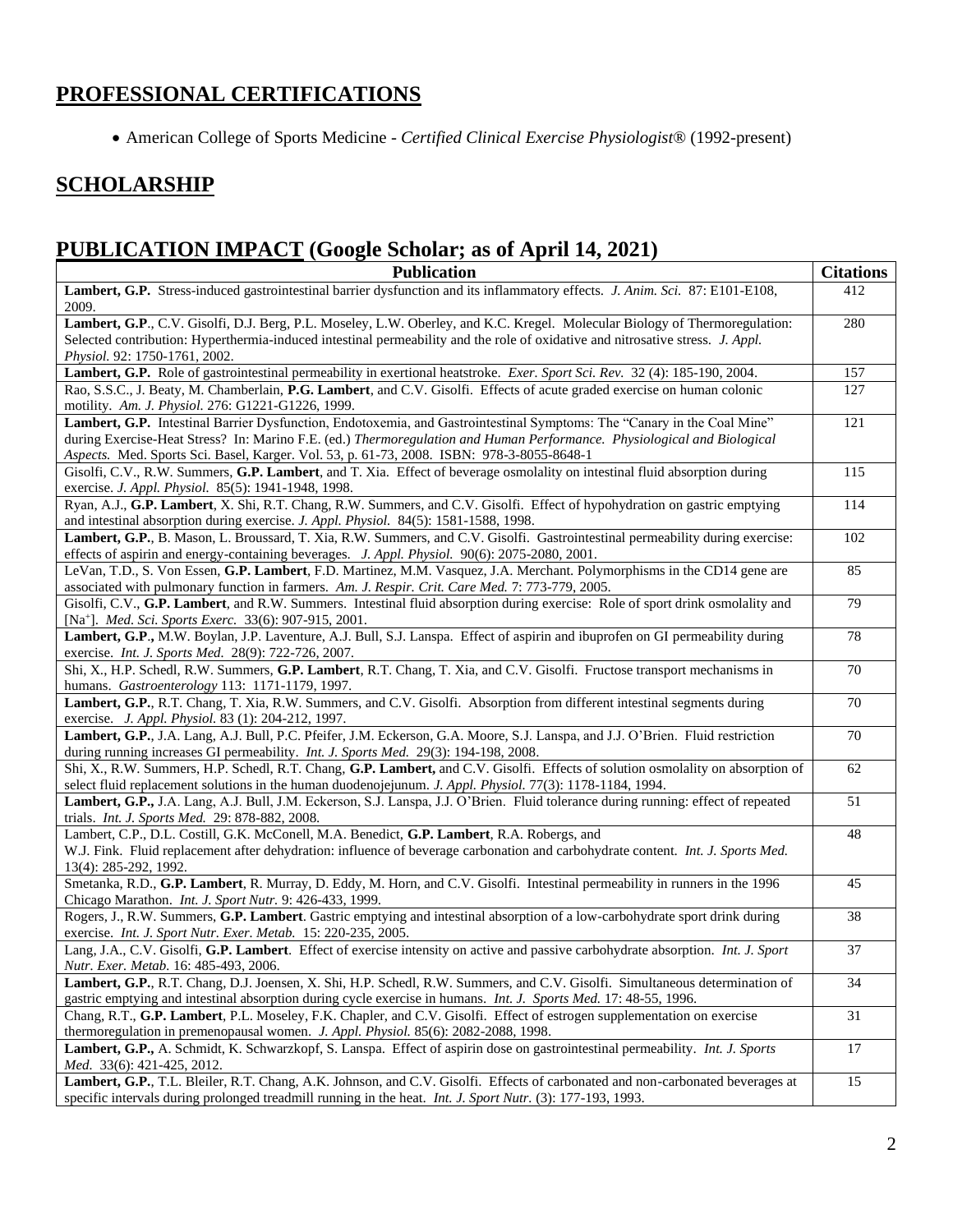# **PROFESSIONAL CERTIFICATIONS**

• American College of Sports Medicine - *Certified Clinical Exercise Physiologist*® (1992-present)

# **SCHOLARSHIP**

# **PUBLICATION IMPACT (Google Scholar; as of April 14, 2021)**

| <b>Publication</b>                                                                                                                                                                                                                | <b>Citations</b> |
|-----------------------------------------------------------------------------------------------------------------------------------------------------------------------------------------------------------------------------------|------------------|
| Lambert, G.P. Stress-induced gastrointestinal barrier dysfunction and its inflammatory effects. J. Anim. Sci. 87: E101-E108,<br>2009.                                                                                             | 412              |
| Lambert, G.P., C.V. Gisolfi, D.J. Berg, P.L. Moseley, L.W. Oberley, and K.C. Kregel. Molecular Biology of Thermoregulation:                                                                                                       | 280              |
| Selected contribution: Hyperthermia-induced intestinal permeability and the role of oxidative and nitrosative stress. J. Appl.<br>Physiol. 92: 1750-1761, 2002.                                                                   |                  |
| Lambert, G.P. Role of gastrointestinal permeability in exertional heatstroke. Exer. Sport Sci. Rev. 32 (4): 185-190, 2004.                                                                                                        | 157              |
| Rao, S.S.C., J. Beaty, M. Chamberlain, P.G. Lambert, and C.V. Gisolfi. Effects of acute graded exercise on human colonic                                                                                                          | 127              |
| motility. Am. J. Physiol. 276: G1221-G1226, 1999.                                                                                                                                                                                 |                  |
| Lambert, G.P. Intestinal Barrier Dysfunction, Endotoxemia, and Gastrointestinal Symptoms: The "Canary in the Coal Mine"                                                                                                           | 121              |
| during Exercise-Heat Stress? In: Marino F.E. (ed.) Thermoregulation and Human Performance. Physiological and Biological                                                                                                           |                  |
| Aspects. Med. Sports Sci. Basel, Karger. Vol. 53, p. 61-73, 2008. ISBN: 978-3-8055-8648-1                                                                                                                                         |                  |
| Gisolfi, C.V., R.W. Summers, G.P. Lambert, and T. Xia. Effect of beverage osmolality on intestinal fluid absorption during                                                                                                        | 115              |
| exercise. J. Appl. Physiol. 85(5): 1941-1948, 1998.                                                                                                                                                                               |                  |
| Ryan, A.J., G.P. Lambert, X. Shi, R.T. Chang, R.W. Summers, and C.V. Gisolfi. Effect of hypohydration on gastric emptying                                                                                                         | 114              |
| and intestinal absorption during exercise. J. Appl. Physiol. 84(5): 1581-1588, 1998.                                                                                                                                              |                  |
| Lambert, G.P., B. Mason, L. Broussard, T. Xia, R.W. Summers, and C.V. Gisolfi. Gastrointestinal permeability during exercise:                                                                                                     | 102              |
| effects of aspirin and energy-containing beverages. J. Appl. Physiol. 90(6): 2075-2080, 2001.                                                                                                                                     |                  |
| LeVan, T.D., S. Von Essen, G.P. Lambert, F.D. Martinez, M.M. Vasquez, J.A. Merchant. Polymorphisms in the CD14 gene are                                                                                                           | 85               |
| associated with pulmonary function in farmers. Am. J. Respir. Crit. Care Med. 7: 773-779, 2005.<br>Gisolfi, C.V., G.P. Lambert, and R.W. Summers. Intestinal fluid absorption during exercise: Role of sport drink osmolality and | 79               |
| [Na <sup>+</sup> ]. <i>Med. Sci. Sports Exerc.</i> 33(6): 907-915, 2001.                                                                                                                                                          |                  |
| Lambert, G.P., M.W. Boylan, J.P. Laventure, A.J. Bull, S.J. Lanspa. Effect of aspirin and ibuprofen on GI permeability during                                                                                                     | 78               |
| exercise. Int. J. Sports Med. 28(9): 722-726, 2007.                                                                                                                                                                               |                  |
| Shi, X., H.P. Schedl, R.W. Summers, G.P. Lambert, R.T. Chang, T. Xia, and C.V. Gisolfi. Fructose transport mechanisms in                                                                                                          | 70               |
| humans. Gastroenterology 113: 1171-1179, 1997.                                                                                                                                                                                    |                  |
| Lambert, G.P., R.T. Chang, T. Xia, R.W. Summers, and C.V. Gisolfi. Absorption from different intestinal segments during                                                                                                           | 70               |
| exercise. J. Appl. Physiol. 83 (1): 204-212, 1997.                                                                                                                                                                                |                  |
| Lambert, G.P., J.A. Lang, A.J. Bull, P.C. Pfeifer, J.M. Eckerson, G.A. Moore, S.J. Lanspa, and J.J. O'Brien. Fluid restriction                                                                                                    | 70               |
| during running increases GI permeability. Int. J. Sports Med. 29(3): 194-198, 2008.                                                                                                                                               |                  |
| Shi, X., R.W. Summers, H.P. Schedl, R.T. Chang, G.P. Lambert, and C.V. Gisolfi. Effects of solution osmolality on absorption of                                                                                                   | 62               |
| select fluid replacement solutions in the human duodenojejunum. J. Appl. Physiol. 77(3): 1178-1184, 1994.                                                                                                                         |                  |
| Lambert, G.P., J.A. Lang, A.J. Bull, J.M. Eckerson, S.J. Lanspa, J.J. O'Brien. Fluid tolerance during running: effect of repeated<br>trials. Int. J. Sports Med. 29: 878-882, 2008.                                               | 51               |
| Lambert, C.P., D.L. Costill, G.K. McConell, M.A. Benedict, G.P. Lambert, R.A. Robergs, and                                                                                                                                        | 48               |
| W.J. Fink. Fluid replacement after dehydration: influence of beverage carbonation and carbohydrate content. Int. J. Sports Med.                                                                                                   |                  |
| 13(4): 285-292, 1992.                                                                                                                                                                                                             |                  |
| Smetanka, R.D., G.P. Lambert, R. Murray, D. Eddy, M. Horn, and C.V. Gisolfi. Intestinal permeability in runners in the 1996                                                                                                       | 45               |
| Chicago Marathon. Int. J. Sport Nutr. 9: 426-433, 1999.                                                                                                                                                                           |                  |
| Rogers, J., R.W. Summers, G.P. Lambert. Gastric emptying and intestinal absorption of a low-carbohydrate sport drink during                                                                                                       | 38               |
| exercise. Int. J. Sport Nutr. Exer. Metab. 15: 220-235, 2005.                                                                                                                                                                     |                  |
| Lang, J.A., C.V. Gisolfi, G.P. Lambert. Effect of exercise intensity on active and passive carbohydrate absorption. Int. J. Sport                                                                                                 | 37               |
| Nutr. Exer. Metab. 16: 485-493, 2006.                                                                                                                                                                                             |                  |
| Lambert, G.P., R.T. Chang, D.J. Joensen, X. Shi, H.P. Schedl, R.W. Summers, and C.V. Gisolfi. Simultaneous determination of                                                                                                       | 34               |
| gastric emptying and intestinal absorption during cycle exercise in humans. Int. J. Sports Med. 17: 48-55, 1996.                                                                                                                  |                  |
| Chang, R.T., G.P. Lambert, P.L. Moseley, F.K. Chapler, and C.V. Gisolfi. Effect of estrogen supplementation on exercise                                                                                                           | 31               |
| thermoregulation in premenopausal women. J. Appl. Physiol. 85(6): 2082-2088, 1998.                                                                                                                                                | 17               |
| Lambert, G.P., A. Schmidt, K. Schwarzkopf, S. Lanspa. Effect of aspirin dose on gastrointestinal permeability. Int. J. Sports<br>Med. 33(6): 421-425, 2012.                                                                       |                  |
| Lambert, G.P., T.L. Bleiler, R.T. Chang, A.K. Johnson, and C.V. Gisolfi. Effects of carbonated and non-carbonated beverages at                                                                                                    | 15               |
| specific intervals during prolonged treadmill running in the heat. Int. J. Sport Nutr. (3): 177-193, 1993.                                                                                                                        |                  |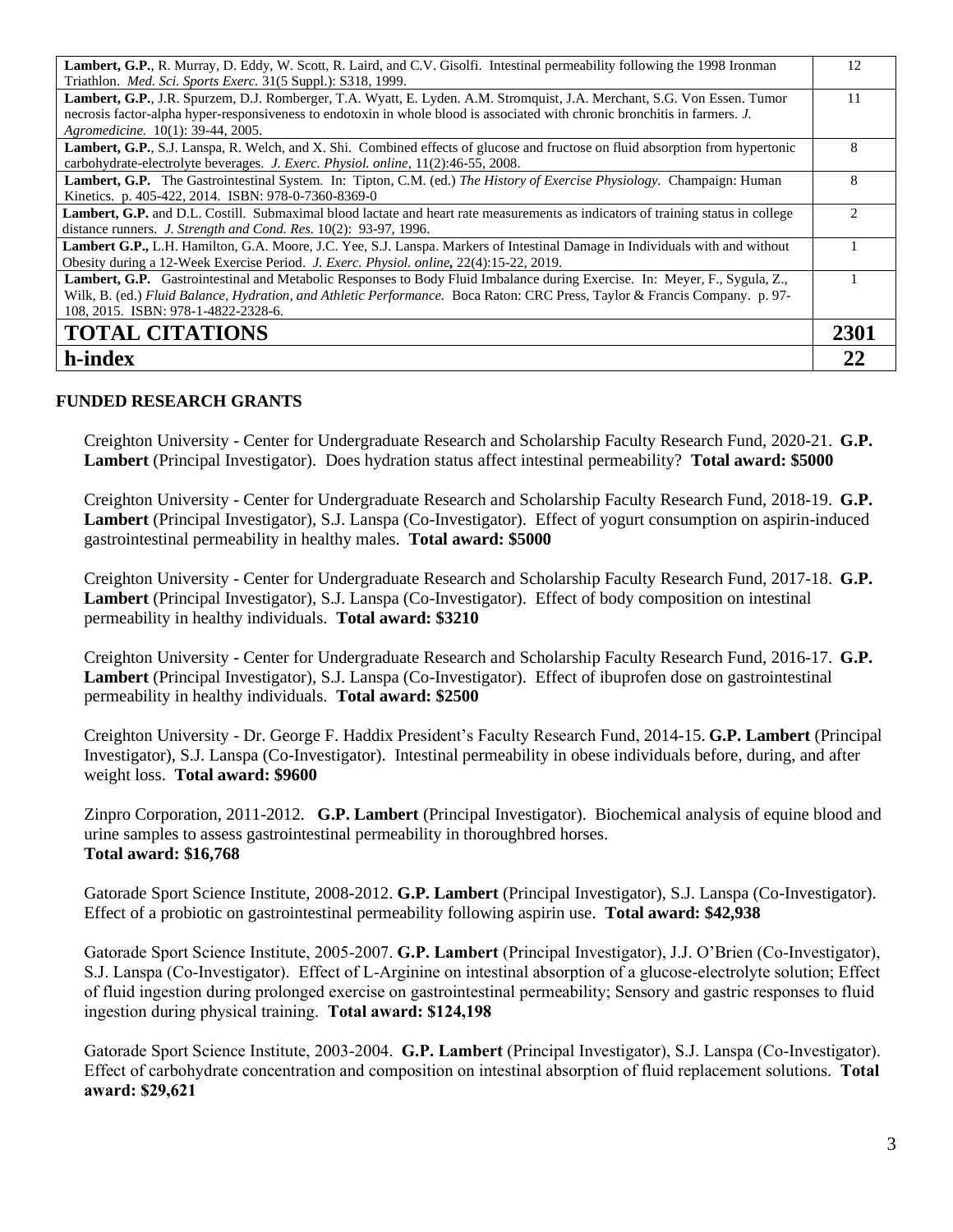| Lambert, G.P., R. Murray, D. Eddy, W. Scott, R. Laird, and C.V. Gisolfi. Intestinal permeability following the 1998 Ironman             | 12   |
|-----------------------------------------------------------------------------------------------------------------------------------------|------|
| Triathlon. <i>Med. Sci. Sports Exerc.</i> 31(5 Suppl.): S318, 1999.                                                                     |      |
| Lambert, G.P., J.R. Spurzem, D.J. Romberger, T.A. Wyatt, E. Lyden. A.M. Stromquist, J.A. Merchant, S.G. Von Essen. Tumor                | 11   |
| necrosis factor-alpha hyper-responsiveness to endotoxin in whole blood is associated with chronic bronchitis in farmers. J.             |      |
| Agromedicine. 10(1): 39-44, 2005.                                                                                                       |      |
| <b>Lambert, G.P., S.J.</b> Lanspa, R. Welch, and X. Shi. Combined effects of glucose and fructose on fluid absorption from hypertonic   | 8    |
| carbohydrate-electrolyte beverages. J. Exerc. Physiol. online, 11(2):46-55, 2008.                                                       |      |
| Lambert, G.P. The Gastrointestinal System. In: Tipton, C.M. (ed.) The History of Exercise Physiology. Champaign: Human                  | 8    |
| Kinetics. p. 405-422, 2014. ISBN: 978-0-7360-8369-0                                                                                     |      |
| <b>Lambert, G.P.</b> and D.L. Costill. Submaximal blood lactate and heart rate measurements as indicators of training status in college |      |
| distance runners. <i>J. Strength and Cond. Res.</i> 10(2): 93-97, 1996.                                                                 |      |
| <b>Lambert G.P.,</b> L.H. Hamilton, G.A. Moore, J.C. Yee, S.J. Lanspa. Markers of Intestinal Damage in Individuals with and without     |      |
| Obesity during a 12-Week Exercise Period. J. Exerc. Physiol. online, 22(4):15-22, 2019.                                                 |      |
| Lambert, G.P. Gastrointestinal and Metabolic Responses to Body Fluid Imbalance during Exercise. In: Meyer, F., Sygula, Z.,              |      |
| Wilk, B. (ed.) Fluid Balance, Hydration, and Athletic Performance. Boca Raton: CRC Press, Taylor & Francis Company. p. 97-              |      |
| 108, 2015. ISBN: 978-1-4822-2328-6.                                                                                                     |      |
| <b>TOTAL CITATIONS</b>                                                                                                                  | 2301 |
| h-index                                                                                                                                 |      |

## **FUNDED RESEARCH GRANTS**

Creighton University - Center for Undergraduate Research and Scholarship Faculty Research Fund, 2020-21. **G.P. Lambert** (Principal Investigator). Does hydration status affect intestinal permeability? **Total award: \$5000**

Creighton University - Center for Undergraduate Research and Scholarship Faculty Research Fund, 2018-19. **G.P. Lambert** (Principal Investigator), S.J. Lanspa (Co-Investigator). Effect of yogurt consumption on aspirin-induced gastrointestinal permeability in healthy males. **Total award: \$5000**

Creighton University - Center for Undergraduate Research and Scholarship Faculty Research Fund, 2017-18. **G.P. Lambert** (Principal Investigator), S.J. Lanspa (Co-Investigator). Effect of body composition on intestinal permeability in healthy individuals. **Total award: \$3210**

Creighton University - Center for Undergraduate Research and Scholarship Faculty Research Fund, 2016-17. **G.P. Lambert** (Principal Investigator), S.J. Lanspa (Co-Investigator). Effect of ibuprofen dose on gastrointestinal permeability in healthy individuals. **Total award: \$2500**

Creighton University - Dr. George F. Haddix President's Faculty Research Fund, 2014-15. **G.P. Lambert** (Principal Investigator), S.J. Lanspa (Co-Investigator). Intestinal permeability in obese individuals before, during, and after weight loss. **Total award: \$9600**

Zinpro Corporation, 2011-2012. **G.P. Lambert** (Principal Investigator). Biochemical analysis of equine blood and urine samples to assess gastrointestinal permeability in thoroughbred horses. **Total award: \$16,768**

Gatorade Sport Science Institute, 2008**-**2012. **G.P. Lambert** (Principal Investigator), S.J. Lanspa (Co-Investigator). Effect of a probiotic on gastrointestinal permeability following aspirin use. **Total award: \$42,938** 

Gatorade Sport Science Institute, 2005-2007. **G.P. Lambert** (Principal Investigator), J.J. O'Brien (Co-Investigator), S.J. Lanspa (Co-Investigator). Effect of L-Arginine on intestinal absorption of a glucose-electrolyte solution; Effect of fluid ingestion during prolonged exercise on gastrointestinal permeability; Sensory and gastric responses to fluid ingestion during physical training. **Total award: \$124,198** 

Gatorade Sport Science Institute, 2003-2004. **G.P. Lambert** (Principal Investigator), S.J. Lanspa (Co-Investigator). Effect of carbohydrate concentration and composition on intestinal absorption of fluid replacement solutions. **Total award: \$29,621**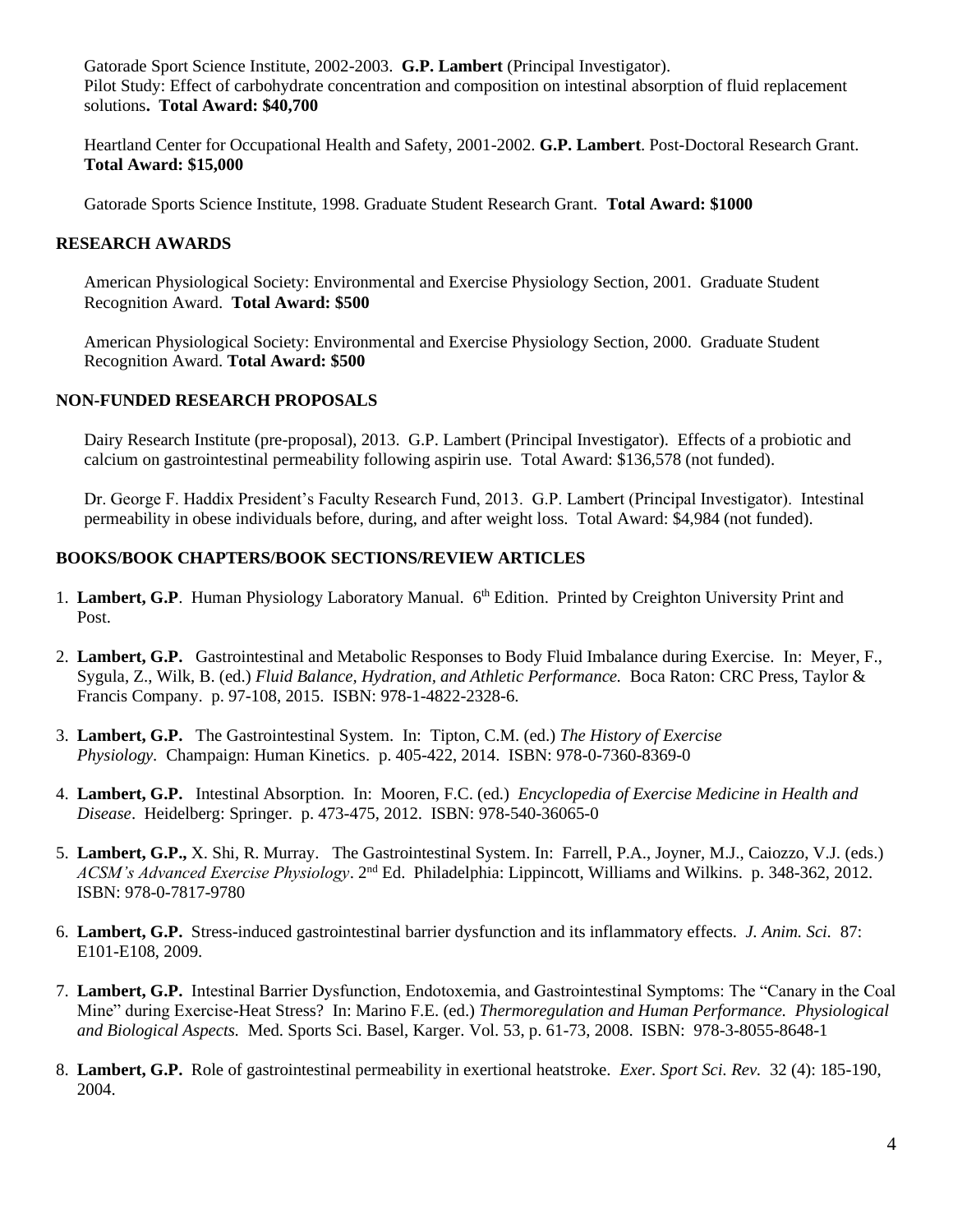Gatorade Sport Science Institute, 2002-2003. **G.P. Lambert** (Principal Investigator). Pilot Study: Effect of carbohydrate concentration and composition on intestinal absorption of fluid replacement solutions**. Total Award: \$40,700**

Heartland Center for Occupational Health and Safety, 2001-2002. **G.P. Lambert**. Post-Doctoral Research Grant. **Total Award: \$15,000** 

Gatorade Sports Science Institute, 1998. Graduate Student Research Grant. **Total Award: \$1000** 

## **RESEARCH AWARDS**

American Physiological Society: Environmental and Exercise Physiology Section, 2001. Graduate Student Recognition Award. **Total Award: \$500**

American Physiological Society: Environmental and Exercise Physiology Section, 2000. Graduate Student Recognition Award. **Total Award: \$500**

#### **NON-FUNDED RESEARCH PROPOSALS**

Dairy Research Institute (pre-proposal), 2013. G.P. Lambert (Principal Investigator). Effects of a probiotic and calcium on gastrointestinal permeability following aspirin use. Total Award: \$136,578 (not funded).

Dr. George F. Haddix President's Faculty Research Fund, 2013. G.P. Lambert (Principal Investigator). Intestinal permeability in obese individuals before, during, and after weight loss. Total Award: \$4,984 (not funded).

## **BOOKS/BOOK CHAPTERS/BOOK SECTIONS/REVIEW ARTICLES**

- 1. Lambert, G.P. Human Physiology Laboratory Manual. 6<sup>th</sup> Edition. Printed by Creighton University Print and Post.
- 2. **Lambert, G.P.** Gastrointestinal and Metabolic Responses to Body Fluid Imbalance during Exercise. In: Meyer, F., Sygula, Z., Wilk, B. (ed.) *Fluid Balance, Hydration, and Athletic Performance.* Boca Raton: CRC Press, Taylor & Francis Company. p. 97-108, 2015. ISBN: 978-1-4822-2328-6.
- 3. **Lambert, G.P.** The Gastrointestinal System. In: Tipton, C.M. (ed.) *The History of Exercise Physiology.* Champaign: Human Kinetics. p. 405-422, 2014. ISBN: 978-0-7360-8369-0
- 4. **Lambert, G.P.** Intestinal Absorption. In: Mooren, F.C. (ed.) *Encyclopedia of Exercise Medicine in Health and Disease*. Heidelberg: Springer. p. 473-475, 2012. ISBN: 978-540-36065-0
- 5. **Lambert, G.P.,** X. Shi, R. Murray. The Gastrointestinal System. In: Farrell, P.A., Joyner, M.J., Caiozzo, V.J. (eds.) ACSM's Advanced Exercise Physiology. 2<sup>nd</sup> Ed. Philadelphia: Lippincott, Williams and Wilkins. p. 348-362, 2012. ISBN: 978-0-7817-9780
- 6. **Lambert, G.P.** Stress-induced gastrointestinal barrier dysfunction and its inflammatory effects. *J. Anim. Sci.* 87: E101-E108, 2009.
- 7. **Lambert, G.P.** Intestinal Barrier Dysfunction, Endotoxemia, and Gastrointestinal Symptoms: The "Canary in the Coal Mine" during Exercise-Heat Stress? In: Marino F.E. (ed.) *Thermoregulation and Human Performance. Physiological and Biological Aspects.* Med. Sports Sci. Basel, Karger. Vol. 53, p. 61-73, 2008. ISBN: 978-3-8055-8648-1
- 8. **Lambert, G.P.** Role of gastrointestinal permeability in exertional heatstroke. *Exer. Sport Sci. Rev.* 32 (4): 185-190, 2004.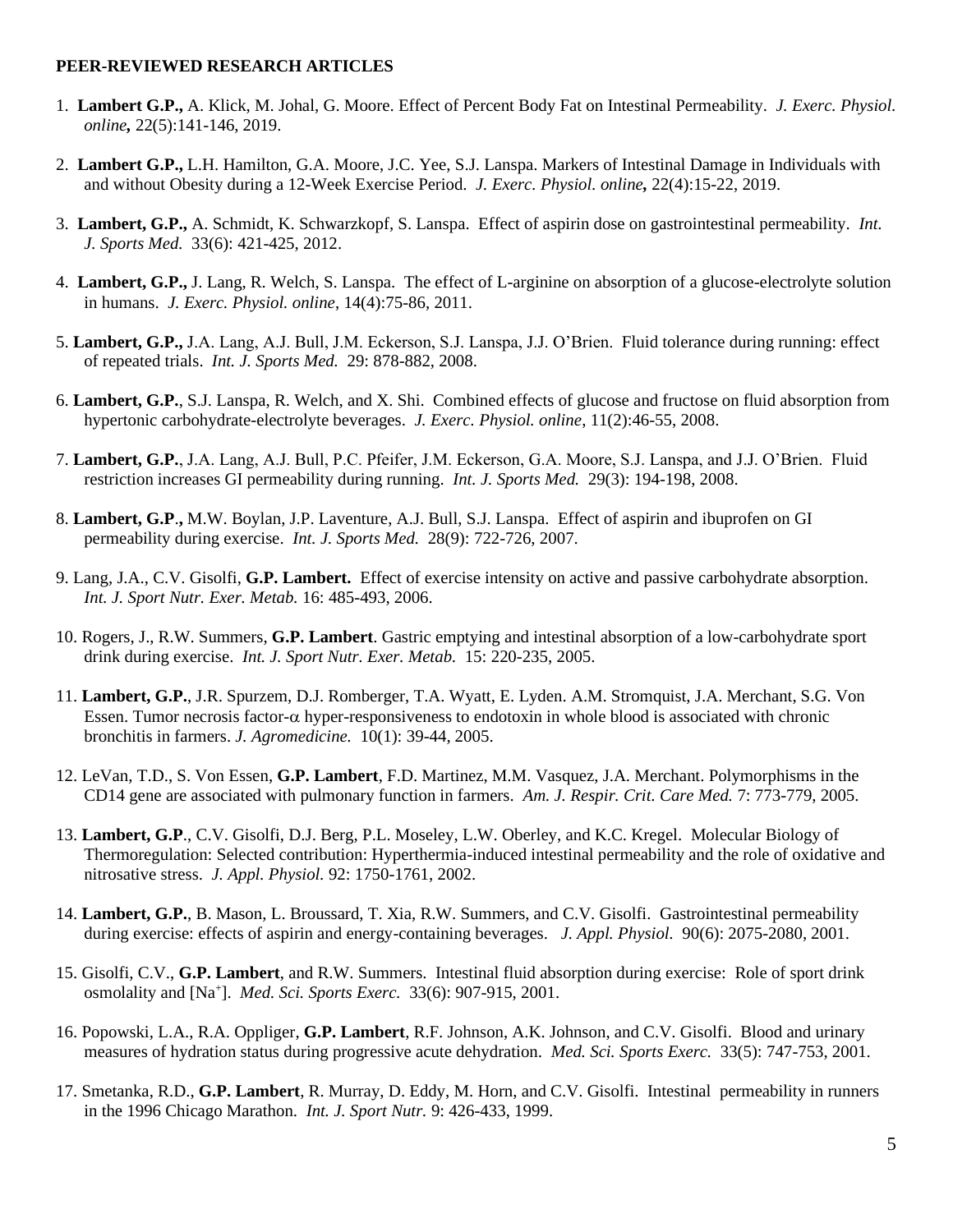#### **PEER-REVIEWED RESEARCH ARTICLES**

- 1. **Lambert G.P.,** A. Klick, M. Johal, G. Moore. Effect of Percent Body Fat on Intestinal Permeability. *J. Exerc. Physiol. online,* 22(5):141-146, 2019.
- 2. **Lambert G.P.,** L.H. Hamilton, G.A. Moore, J.C. Yee, S.J. Lanspa. Markers of Intestinal Damage in Individuals with and without Obesity during a 12-Week Exercise Period. *J. Exerc. Physiol. online,* 22(4):15-22, 2019.
- 3. **Lambert, G.P.,** A. Schmidt, K. Schwarzkopf, S. Lanspa. Effect of aspirin dose on gastrointestinal permeability. *Int. J. Sports Med.* 33(6): 421-425, 2012.
- 4. **Lambert, G.P.,** J. Lang, R. Welch, S. Lanspa. The effect of L-arginine on absorption of a glucose-electrolyte solution in humans. *J. Exerc. Physiol. online*, 14(4):75-86, 2011.
- 5. **Lambert, G.P.,** J.A. Lang, A.J. Bull, J.M. Eckerson, S.J. Lanspa, J.J. O'Brien. Fluid tolerance during running: effect of repeated trials. *Int. J. Sports Med.* 29: 878-882, 2008.
- 6. **Lambert, G.P.**, S.J. Lanspa, R. Welch, and X. Shi. Combined effects of glucose and fructose on fluid absorption from hypertonic carbohydrate-electrolyte beverages. *J. Exerc. Physiol. online*, 11(2):46-55, 2008.
- 7. **Lambert, G.P.**, J.A. Lang, A.J. Bull, P.C. Pfeifer, J.M. Eckerson, G.A. Moore, S.J. Lanspa, and J.J. O'Brien. Fluid restriction increases GI permeability during running. *Int. J. Sports Med.* 29(3): 194-198, 2008.
- 8. **Lambert, G.P**.**,** M.W. Boylan, J.P. Laventure, A.J. Bull, S.J. Lanspa. Effect of aspirin and ibuprofen on GI permeability during exercise. *Int. J. Sports Med.* 28(9): 722-726, 2007.
- 9. Lang, J.A., C.V. Gisolfi, **G.P. Lambert.** Effect of exercise intensity on active and passive carbohydrate absorption. *Int. J. Sport Nutr. Exer. Metab.* 16: 485-493, 2006.
- 10. Rogers, J., R.W. Summers, **G.P. Lambert**. Gastric emptying and intestinal absorption of a low-carbohydrate sport drink during exercise. *Int. J. Sport Nutr. Exer. Metab.* 15: 220-235, 2005.
- 11. **Lambert, G.P.**, J.R. Spurzem, D.J. Romberger, T.A. Wyatt, E. Lyden. A.M. Stromquist, J.A. Merchant, S.G. Von Essen. Tumor necrosis factor- $\alpha$  hyper-responsiveness to endotoxin in whole blood is associated with chronic bronchitis in farmers. *J. Agromedicine.* 10(1): 39-44, 2005.
- 12. LeVan, T.D., S. Von Essen, **G.P. Lambert**, F.D. Martinez, M.M. Vasquez, J.A. Merchant. Polymorphisms in the CD14 gene are associated with pulmonary function in farmers. *Am. J. Respir. Crit. Care Med.* 7: 773-779, 2005.
- 13. **Lambert, G.P**., C.V. Gisolfi, D.J. Berg, P.L. Moseley, L.W. Oberley, and K.C. Kregel. Molecular Biology of Thermoregulation: Selected contribution: Hyperthermia-induced intestinal permeability and the role of oxidative and nitrosative stress. *J. Appl. Physiol.* 92: 1750-1761, 2002.
- 14. **Lambert, G.P.**, B. Mason, L. Broussard, T. Xia, R.W. Summers, and C.V. Gisolfi. Gastrointestinal permeability during exercise: effects of aspirin and energy-containing beverages. *J. Appl. Physiol.* 90(6): 2075-2080, 2001.
- 15. Gisolfi, C.V., **G.P. Lambert**, and R.W. Summers. Intestinal fluid absorption during exercise: Role of sport drink osmolality and [Na<sup>+</sup> ]. *Med. Sci. Sports Exerc.* 33(6): 907-915, 2001.
- 16. Popowski, L.A., R.A. Oppliger, **G.P. Lambert**, R.F. Johnson, A.K. Johnson, and C.V. Gisolfi. Blood and urinary measures of hydration status during progressive acute dehydration. *Med. Sci. Sports Exerc.* 33(5): 747-753, 2001.
- 17. Smetanka, R.D., **G.P. Lambert**, R. Murray, D. Eddy, M. Horn, and C.V. Gisolfi. Intestinal permeability in runners in the 1996 Chicago Marathon. *Int. J. Sport Nutr.* 9: 426-433, 1999.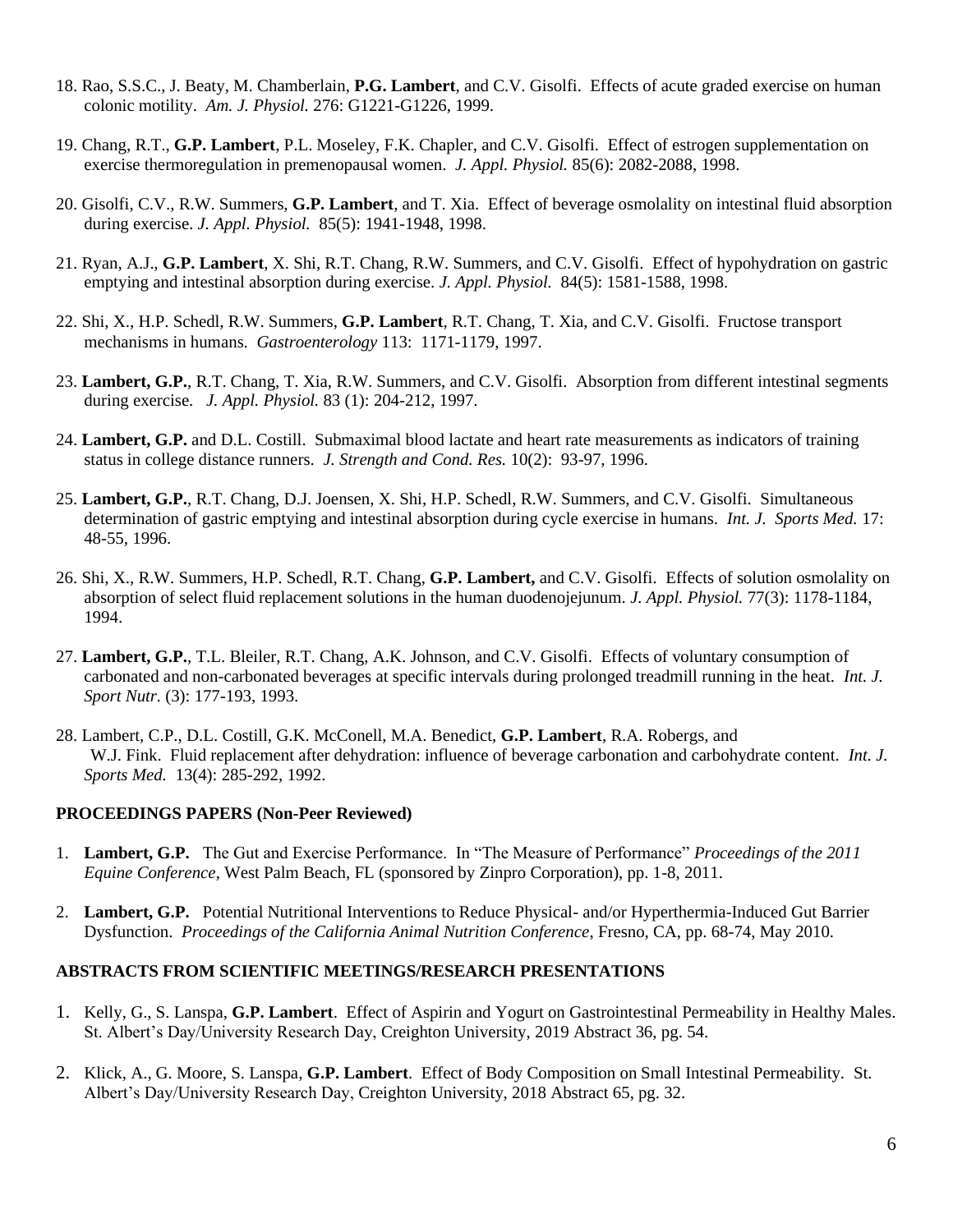- 18. Rao, S.S.C., J. Beaty, M. Chamberlain, **P.G. Lambert**, and C.V. Gisolfi. Effects of acute graded exercise on human colonic motility. *Am. J. Physiol.* 276: G1221-G1226, 1999.
- 19. Chang, R.T., **G.P. Lambert**, P.L. Moseley, F.K. Chapler, and C.V. Gisolfi. Effect of estrogen supplementation on exercise thermoregulation in premenopausal women. *J. Appl. Physiol.* 85(6): 2082-2088, 1998.
- 20. Gisolfi, C.V., R.W. Summers, **G.P. Lambert**, and T. Xia. Effect of beverage osmolality on intestinal fluid absorption during exercise. *J. Appl. Physiol.* 85(5): 1941-1948, 1998.
- 21. Ryan, A.J., **G.P. Lambert**, X. Shi, R.T. Chang, R.W. Summers, and C.V. Gisolfi. Effect of hypohydration on gastric emptying and intestinal absorption during exercise. *J. Appl. Physiol.* 84(5): 1581-1588, 1998.
- 22. Shi, X., H.P. Schedl, R.W. Summers, **G.P. Lambert**, R.T. Chang, T. Xia, and C.V. Gisolfi. Fructose transport mechanisms in humans. *Gastroenterology* 113: 1171-1179, 1997.
- 23. **Lambert, G.P.**, R.T. Chang, T. Xia, R.W. Summers, and C.V. Gisolfi. Absorption from different intestinal segments during exercise. *J. Appl. Physiol.* 83 (1): 204-212, 1997.
- 24. **Lambert, G.P.** and D.L. Costill. Submaximal blood lactate and heart rate measurements as indicators of training status in college distance runners. *J. Strength and Cond. Res.* 10(2): 93-97, 1996.
- 25. **Lambert, G.P.**, R.T. Chang, D.J. Joensen, X. Shi, H.P. Schedl, R.W. Summers, and C.V. Gisolfi. Simultaneous determination of gastric emptying and intestinal absorption during cycle exercise in humans. *Int. J. Sports Med.* 17: 48-55, 1996.
- 26. Shi, X., R.W. Summers, H.P. Schedl, R.T. Chang, **G.P. Lambert,** and C.V. Gisolfi. Effects of solution osmolality on absorption of select fluid replacement solutions in the human duodenojejunum. *J. Appl. Physiol.* 77(3): 1178-1184, 1994.
- 27. **Lambert, G.P.**, T.L. Bleiler, R.T. Chang, A.K. Johnson, and C.V. Gisolfi. Effects of voluntary consumption of carbonated and non-carbonated beverages at specific intervals during prolonged treadmill running in the heat. *Int. J. Sport Nutr.* (3): 177-193, 1993.
- 28. Lambert, C.P., D.L. Costill, G.K. McConell, M.A. Benedict, **G.P. Lambert**, R.A. Robergs, and W.J. Fink. Fluid replacement after dehydration: influence of beverage carbonation and carbohydrate content. *Int. J. Sports Med.* 13(4): 285-292, 1992.

#### **PROCEEDINGS PAPERS (Non-Peer Reviewed)**

- 1. **Lambert, G.P.** The Gut and Exercise Performance. In "The Measure of Performance" *Proceedings of the 2011 Equine Conference*, West Palm Beach, FL (sponsored by Zinpro Corporation), pp. 1-8, 2011.
- 2. **Lambert, G.P.** Potential Nutritional Interventions to Reduce Physical- and/or Hyperthermia-Induced Gut Barrier Dysfunction. *Proceedings of the California Animal Nutrition Conference*, Fresno, CA, pp. 68-74, May 2010.

#### **ABSTRACTS FROM SCIENTIFIC MEETINGS/RESEARCH PRESENTATIONS**

- 1. Kelly, G., S. Lanspa, **G.P. Lambert**. Effect of Aspirin and Yogurt on Gastrointestinal Permeability in Healthy Males. St. Albert's Day/University Research Day, Creighton University, 2019 Abstract 36, pg. 54.
- 2. Klick, A., G. Moore, S. Lanspa, **G.P. Lambert**. Effect of Body Composition on Small Intestinal Permeability*.* St. Albert's Day/University Research Day, Creighton University, 2018 Abstract 65, pg. 32.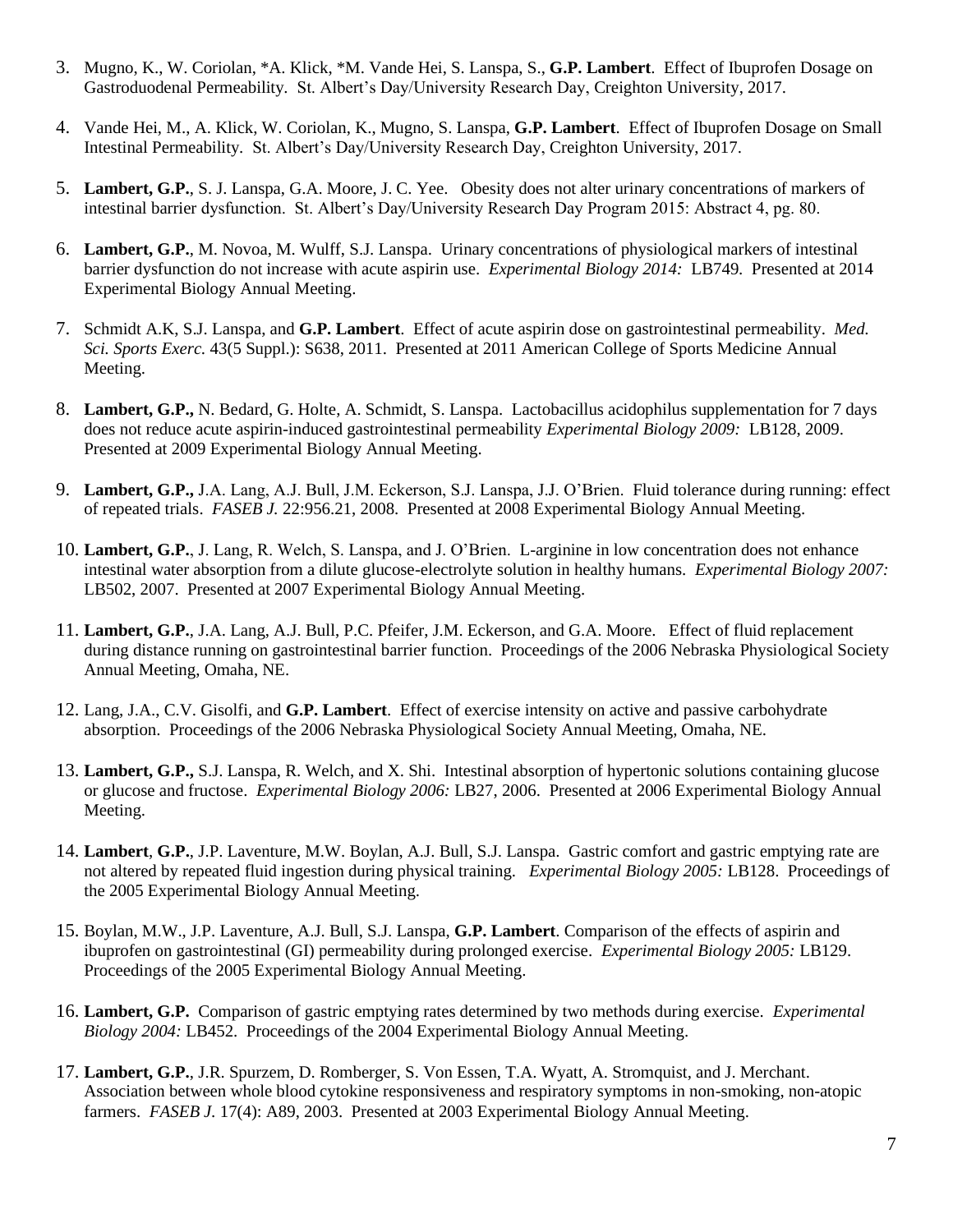- 3. Mugno, K., W. Coriolan, \*A. Klick, \*M. Vande Hei, S. Lanspa, S., **G.P. Lambert**. Effect of Ibuprofen Dosage on Gastroduodenal Permeability*.* St. Albert's Day/University Research Day, Creighton University, 2017.
- 4. Vande Hei, M., A. Klick, W. Coriolan, K., Mugno, S. Lanspa, **G.P. Lambert**. Effect of Ibuprofen Dosage on Small Intestinal Permeability*.* St. Albert's Day/University Research Day, Creighton University, 2017.
- 5. **Lambert, G.P.**, S. J. Lanspa, G.A. Moore, J. C. Yee. Obesity does not alter urinary concentrations of markers of intestinal barrier dysfunction. St. Albert's Day/University Research Day Program 2015: Abstract 4, pg. 80.
- 6. **Lambert, G.P.**, M. Novoa, M. Wulff, S.J. Lanspa. Urinary concentrations of physiological markers of intestinal barrier dysfunction do not increase with acute aspirin use. *Experimental Biology 2014:* LB749. Presented at 2014 Experimental Biology Annual Meeting.
- 7. Schmidt A.K, S.J. Lanspa, and **G.P. Lambert**. Effect of acute aspirin dose on gastrointestinal permeability. *Med. Sci. Sports Exerc.* 43(5 Suppl.): S638, 2011. Presented at 2011 American College of Sports Medicine Annual Meeting.
- 8. **Lambert, G.P.,** N. Bedard, G. Holte, A. Schmidt, S. Lanspa. Lactobacillus acidophilus supplementation for 7 days does not reduce acute aspirin-induced gastrointestinal permeability *Experimental Biology 2009:* LB128, 2009. Presented at 2009 Experimental Biology Annual Meeting.
- 9. **Lambert, G.P.,** J.A. Lang, A.J. Bull, J.M. Eckerson, S.J. Lanspa, J.J. O'Brien. Fluid tolerance during running: effect of repeated trials. *FASEB J.* 22:956.21, 2008. Presented at 2008 Experimental Biology Annual Meeting.
- 10. **Lambert, G.P.**, J. Lang, R. Welch, S. Lanspa, and J. O'Brien. L-arginine in low concentration does not enhance intestinal water absorption from a dilute glucose-electrolyte solution in healthy humans.*Experimental Biology 2007:*  LB502, 2007. Presented at 2007 Experimental Biology Annual Meeting.
- 11. **Lambert, G.P.**, J.A. Lang, A.J. Bull, P.C. Pfeifer, J.M. Eckerson, and G.A. Moore. Effect of fluid replacement during distance running on gastrointestinal barrier function. Proceedings of the 2006 Nebraska Physiological Society Annual Meeting, Omaha, NE.
- 12. Lang, J.A., C.V. Gisolfi, and **G.P. Lambert**. Effect of exercise intensity on active and passive carbohydrate absorption. Proceedings of the 2006 Nebraska Physiological Society Annual Meeting, Omaha, NE.
- 13. **Lambert, G.P.,** S.J. Lanspa, R. Welch, and X. Shi.Intestinal absorption of hypertonic solutions containing glucose or glucose and fructose. *Experimental Biology 2006:* LB27, 2006. Presented at 2006 Experimental Biology Annual Meeting.
- 14. **Lambert**, **G.P.**, J.P. Laventure, M.W. Boylan, A.J. Bull, S.J. Lanspa. Gastric comfort and gastric emptying rate are not altered by repeated fluid ingestion during physical training.*Experimental Biology 2005:* LB128. Proceedings of the 2005 Experimental Biology Annual Meeting.
- 15. Boylan, M.W., J.P. Laventure, A.J. Bull, S.J. Lanspa, **G.P. Lambert**. Comparison of the effects of aspirin and ibuprofen on gastrointestinal (GI) permeability during prolonged exercise.*Experimental Biology 2005:* LB129. Proceedings of the 2005 Experimental Biology Annual Meeting.
- 16. **Lambert, G.P.** Comparison of gastric emptying rates determined by two methods during exercise. *Experimental Biology 2004:* LB452. Proceedings of the 2004 Experimental Biology Annual Meeting.
- 17. **Lambert, G.P.**, J.R. Spurzem, D. Romberger, S. Von Essen, T.A. Wyatt, A. Stromquist, and J. Merchant. Association between whole blood cytokine responsiveness and respiratory symptoms in non-smoking, non-atopic farmers. *FASEB J.* 17(4): A89, 2003. Presented at 2003 Experimental Biology Annual Meeting.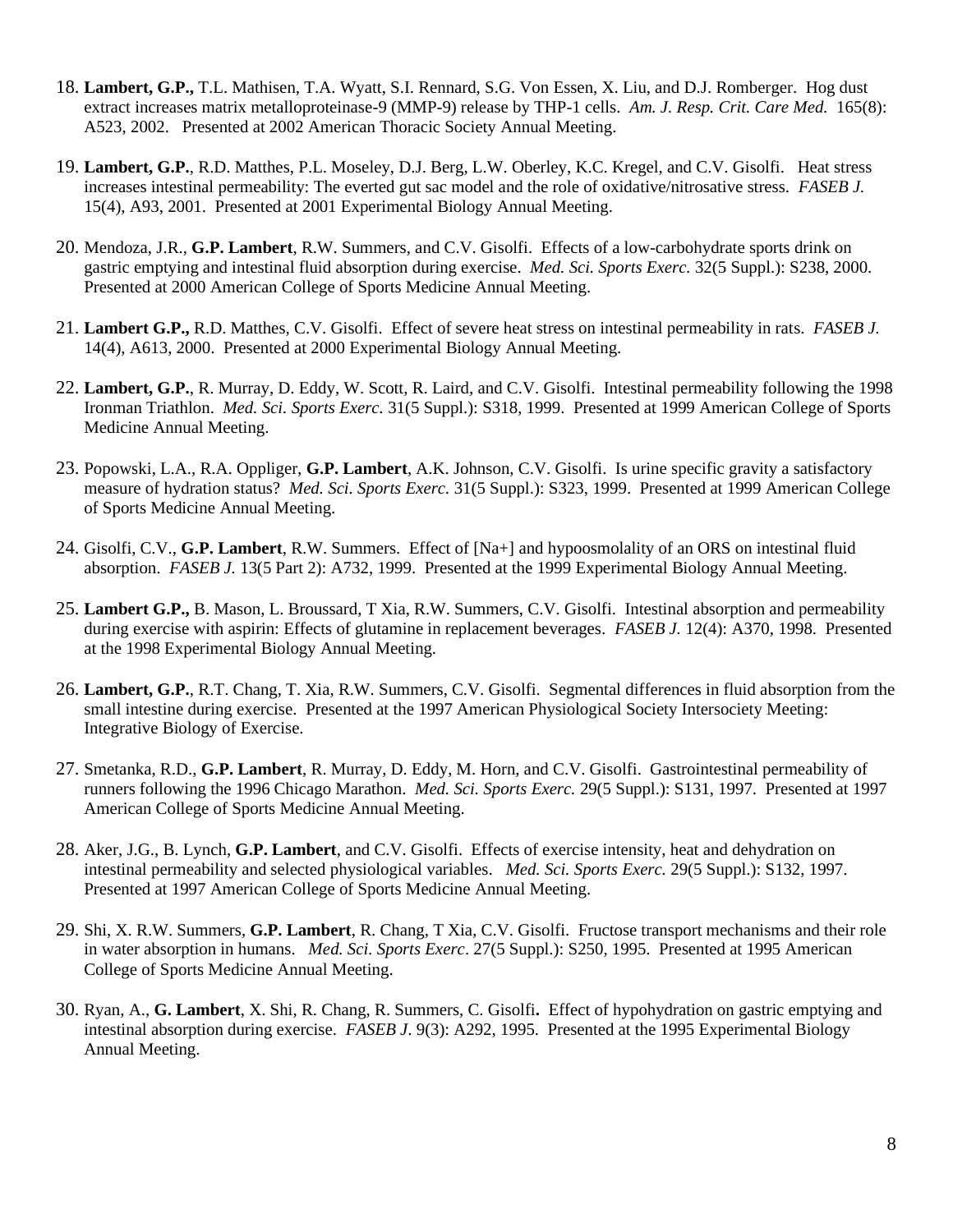- 18. **Lambert, G.P.,** T.L. Mathisen, T.A. Wyatt, S.I. Rennard, S.G. Von Essen, X. Liu, and D.J. Romberger. Hog dust extract increases matrix metalloproteinase-9 (MMP-9) release by THP-1 cells. *Am. J. Resp. Crit. Care Med.* 165(8): A523, 2002. Presented at 2002 American Thoracic Society Annual Meeting.
- 19. **Lambert, G.P.**, R.D. Matthes, P.L. Moseley, D.J. Berg, L.W. Oberley, K.C. Kregel, and C.V. Gisolfi. Heat stress increases intestinal permeability: The everted gut sac model and the role of oxidative/nitrosative stress. *FASEB J.* 15(4), A93, 2001. Presented at 2001 Experimental Biology Annual Meeting.
- 20. Mendoza, J.R., **G.P. Lambert**, R.W. Summers, and C.V. Gisolfi. Effects of a low-carbohydrate sports drink on gastric emptying and intestinal fluid absorption during exercise. *Med. Sci. Sports Exerc.* 32(5 Suppl.): S238, 2000. Presented at 2000 American College of Sports Medicine Annual Meeting.
- 21. **Lambert G.P.,** R.D. Matthes, C.V. Gisolfi. Effect of severe heat stress on intestinal permeability in rats. *FASEB J.* 14(4), A613, 2000. Presented at 2000 Experimental Biology Annual Meeting.
- 22. **Lambert, G.P.**, R. Murray, D. Eddy, W. Scott, R. Laird, and C.V. Gisolfi. Intestinal permeability following the 1998 Ironman Triathlon. *Med. Sci. Sports Exerc.* 31(5 Suppl.): S318, 1999. Presented at 1999 American College of Sports Medicine Annual Meeting.
- 23. Popowski, L.A., R.A. Oppliger, **G.P. Lambert**, A.K. Johnson, C.V. Gisolfi. Is urine specific gravity a satisfactory measure of hydration status? *Med. Sci. Sports Exerc.* 31(5 Suppl.): S323, 1999. Presented at 1999 American College of Sports Medicine Annual Meeting.
- 24. Gisolfi, C.V., **G.P. Lambert**, R.W. Summers. Effect of [Na+] and hypoosmolality of an ORS on intestinal fluid absorption. *FASEB J.* 13(5 Part 2): A732, 1999. Presented at the 1999 Experimental Biology Annual Meeting.
- 25. **Lambert G.P.,** B. Mason, L. Broussard, T Xia, R.W. Summers, C.V. Gisolfi. Intestinal absorption and permeability during exercise with aspirin: Effects of glutamine in replacement beverages. *FASEB J.* 12(4): A370, 1998. Presented at the 1998 Experimental Biology Annual Meeting.
- 26. **Lambert, G.P.**, R.T. Chang, T. Xia, R.W. Summers, C.V. Gisolfi. Segmental differences in fluid absorption from the small intestine during exercise. Presented at the 1997 American Physiological Society Intersociety Meeting: Integrative Biology of Exercise.
- 27. Smetanka, R.D., **G.P. Lambert**, R. Murray, D. Eddy, M. Horn, and C.V. Gisolfi. Gastrointestinal permeability of runners following the 1996 Chicago Marathon. *Med. Sci. Sports Exerc.* 29(5 Suppl.): S131, 1997. Presented at 1997 American College of Sports Medicine Annual Meeting.
- 28. Aker, J.G., B. Lynch, **G.P. Lambert**, and C.V. Gisolfi. Effects of exercise intensity, heat and dehydration on intestinal permeability and selected physiological variables. *Med. Sci. Sports Exerc.* 29(5 Suppl.): S132, 1997. Presented at 1997 American College of Sports Medicine Annual Meeting.
- 29. Shi, X. R.W. Summers, **G.P. Lambert**, R. Chang, T Xia, C.V. Gisolfi. Fructose transport mechanisms and their role in water absorption in humans. *Med. Sci. Sports Exerc*. 27(5 Suppl.): S250, 1995. Presented at 1995 American College of Sports Medicine Annual Meeting.
- 30. Ryan, A., **G. Lambert**, X. Shi, R. Chang, R. Summers, C. Gisolfi**.** Effect of hypohydration on gastric emptying and intestinal absorption during exercise. *FASEB J*. 9(3): A292, 1995. Presented at the 1995 Experimental Biology Annual Meeting.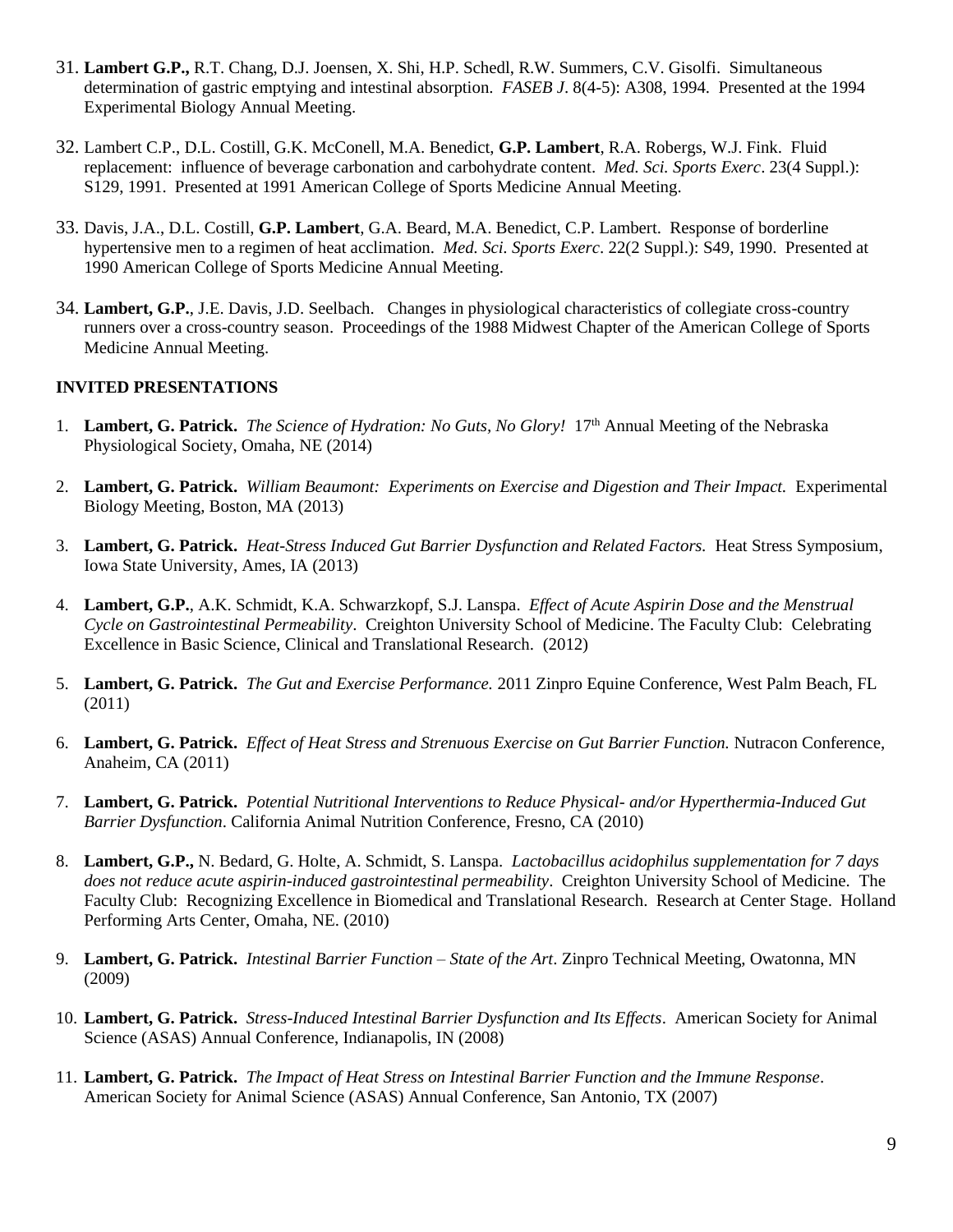- 31. **Lambert G.P.,** R.T. Chang, D.J. Joensen, X. Shi, H.P. Schedl, R.W. Summers, C.V. Gisolfi. Simultaneous determination of gastric emptying and intestinal absorption. *FASEB J*. 8(4-5): A308, 1994. Presented at the 1994 Experimental Biology Annual Meeting.
- 32. Lambert C.P., D.L. Costill, G.K. McConell, M.A. Benedict, **G.P. Lambert**, R.A. Robergs, W.J. Fink. Fluid replacement: influence of beverage carbonation and carbohydrate content. *Med. Sci. Sports Exerc*. 23(4 Suppl.): S129, 1991. Presented at 1991 American College of Sports Medicine Annual Meeting.
- 33. Davis, J.A., D.L. Costill, **G.P. Lambert**, G.A. Beard, M.A. Benedict, C.P. Lambert. Response of borderline hypertensive men to a regimen of heat acclimation. *Med. Sci. Sports Exerc*. 22(2 Suppl.): S49, 1990. Presented at 1990 American College of Sports Medicine Annual Meeting.
- 34. **Lambert, G.P.**, J.E. Davis, J.D. Seelbach. Changes in physiological characteristics of collegiate cross-country runners over a cross-country season. Proceedings of the 1988 Midwest Chapter of the American College of Sports Medicine Annual Meeting.

## **INVITED PRESENTATIONS**

- 1. **Lambert, G. Patrick.** *The Science of Hydration: No Guts, No Glory!* 17th Annual Meeting of the Nebraska Physiological Society, Omaha, NE (2014)
- 2. **Lambert, G. Patrick.** *William Beaumont: Experiments on Exercise and Digestion and Their Impact.* Experimental Biology Meeting, Boston, MA (2013)
- 3. **Lambert, G. Patrick.** *Heat-Stress Induced Gut Barrier Dysfunction and Related Factors.* Heat Stress Symposium, Iowa State University, Ames, IA (2013)
- 4. **Lambert, G.P.**, A.K. Schmidt, K.A. Schwarzkopf, S.J. Lanspa. *Effect of Acute Aspirin Dose and the Menstrual Cycle on Gastrointestinal Permeability*. Creighton University School of Medicine. The Faculty Club: Celebrating Excellence in Basic Science, Clinical and Translational Research. (2012)
- 5. **Lambert, G. Patrick.** *The Gut and Exercise Performance.* 2011 Zinpro Equine Conference, West Palm Beach, FL (2011)
- 6. **Lambert, G. Patrick.** *Effect of Heat Stress and Strenuous Exercise on Gut Barrier Function.* Nutracon Conference, Anaheim, CA (2011)
- 7. **Lambert, G. Patrick.** *Potential Nutritional Interventions to Reduce Physical- and/or Hyperthermia-Induced Gut Barrier Dysfunction*. California Animal Nutrition Conference, Fresno, CA (2010)
- 8. **Lambert, G.P.,** N. Bedard, G. Holte, A. Schmidt, S. Lanspa. *Lactobacillus acidophilus supplementation for 7 days does not reduce acute aspirin-induced gastrointestinal permeability*. Creighton University School of Medicine. The Faculty Club: Recognizing Excellence in Biomedical and Translational Research. Research at Center Stage. Holland Performing Arts Center, Omaha, NE. (2010)
- 9. **Lambert, G. Patrick.** *Intestinal Barrier Function – State of the Art*. Zinpro Technical Meeting, Owatonna, MN (2009)
- 10. **Lambert, G. Patrick.** *Stress-Induced Intestinal Barrier Dysfunction and Its Effects*. American Society for Animal Science (ASAS) Annual Conference, Indianapolis, IN (2008)
- 11. **Lambert, G. Patrick.** *The Impact of Heat Stress on Intestinal Barrier Function and the Immune Response*. American Society for Animal Science (ASAS) Annual Conference, San Antonio, TX (2007)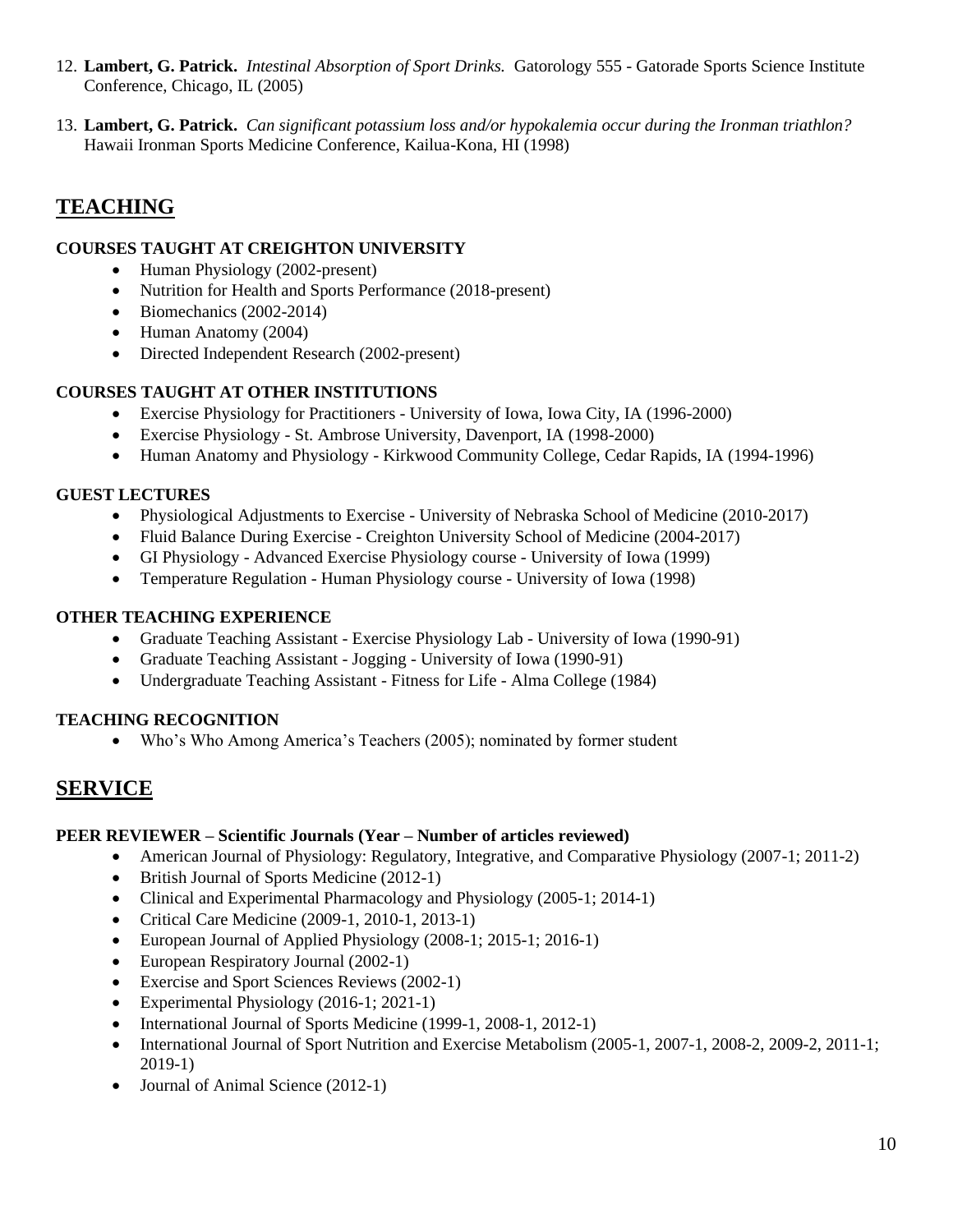- 12. **Lambert, G. Patrick.** *Intestinal Absorption of Sport Drinks.* Gatorology 555 Gatorade Sports Science Institute Conference, Chicago, IL (2005)
- 13. **Lambert, G. Patrick.** *Can significant potassium loss and/or hypokalemia occur during the Ironman triathlon?*  Hawaii Ironman Sports Medicine Conference, Kailua-Kona, HI (1998)

# **TEACHING**

## **COURSES TAUGHT AT CREIGHTON UNIVERSITY**

- Human Physiology (2002-present)
- Nutrition for Health and Sports Performance (2018-present)
- Biomechanics (2002-2014)
- Human Anatomy (2004)
- Directed Independent Research (2002-present)

## **COURSES TAUGHT AT OTHER INSTITUTIONS**

- Exercise Physiology for Practitioners University of Iowa, Iowa City, IA (1996-2000)
- Exercise Physiology St. Ambrose University, Davenport, IA (1998-2000)
- Human Anatomy and Physiology Kirkwood Community College, Cedar Rapids, IA (1994-1996)

## **GUEST LECTURES**

- Physiological Adjustments to Exercise University of Nebraska School of Medicine (2010-2017)
- Fluid Balance During Exercise Creighton University School of Medicine (2004-2017)
- GI Physiology Advanced Exercise Physiology course University of Iowa (1999)
- Temperature Regulation Human Physiology course University of Iowa (1998)

### **OTHER TEACHING EXPERIENCE**

- Graduate Teaching Assistant Exercise Physiology Lab University of Iowa (1990-91)
- Graduate Teaching Assistant Jogging University of Iowa (1990-91)
- Undergraduate Teaching Assistant Fitness for Life Alma College (1984)

## **TEACHING RECOGNITION**

• Who's Who Among America's Teachers (2005); nominated by former student

# **SERVICE**

#### **PEER REVIEWER – Scientific Journals (Year – Number of articles reviewed)**

- American Journal of Physiology: Regulatory, Integrative, and Comparative Physiology (2007-1; 2011-2)
- British Journal of Sports Medicine (2012-1)
- Clinical and Experimental Pharmacology and Physiology (2005-1; 2014-1)
- Critical Care Medicine (2009-1, 2010-1, 2013-1)
- European Journal of Applied Physiology (2008-1; 2015-1; 2016-1)
- European Respiratory Journal (2002-1)
- Exercise and Sport Sciences Reviews (2002-1)
- Experimental Physiology (2016-1; 2021-1)
- International Journal of Sports Medicine (1999-1, 2008-1, 2012-1)
- International Journal of Sport Nutrition and Exercise Metabolism (2005-1, 2007-1, 2008-2, 2009-2, 2011-1; 2019-1)
- Journal of Animal Science (2012-1)